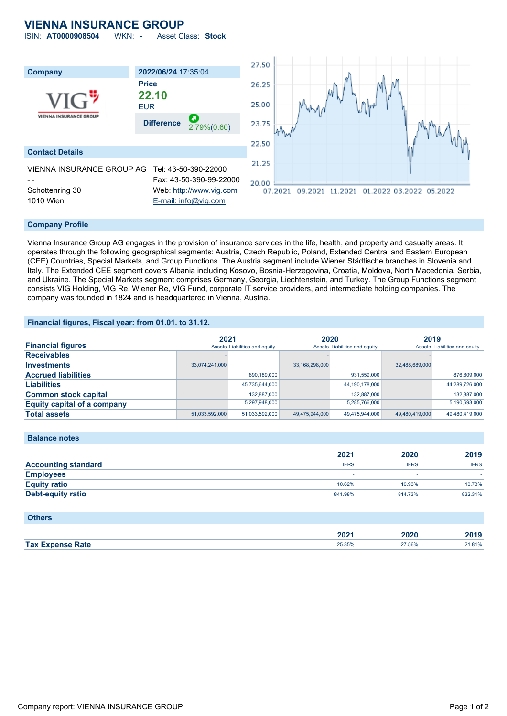## **VIENNA INSURANCE GROUP**

ISIN: **AT0000908504** WKN: **-** Asset Class: **Stock**



#### **Company Profile**

Vienna Insurance Group AG engages in the provision of insurance services in the life, health, and property and casualty areas. It operates through the following geographical segments: Austria, Czech Republic, Poland, Extended Central and Eastern European (CEE) Countries, Special Markets, and Group Functions. The Austria segment include Wiener Städtische branches in Slovenia and Italy. The Extended CEE segment covers Albania including Kosovo, Bosnia-Herzegovina, Croatia, Moldova, North Macedonia, Serbia, and Ukraine. The Special Markets segment comprises Germany, Georgia, Liechtenstein, and Turkey. The Group Functions segment consists VIG Holding, VIG Re, Wiener Re, VIG Fund, corporate IT service providers, and intermediate holding companies. The company was founded in 1824 and is headquartered in Vienna, Austria.

### **Financial figures, Fiscal year: from 01.01. to 31.12.**

| <b>Financial figures</b>           | 2021           | Assets Liabilities and equity | 2020           | Assets Liabilities and equity | 2019           | Assets Liabilities and equity |
|------------------------------------|----------------|-------------------------------|----------------|-------------------------------|----------------|-------------------------------|
| <b>Receivables</b>                 |                |                               |                |                               |                |                               |
| <b>Investments</b>                 | 33,074,241,000 |                               | 33,168,298,000 |                               | 32,488,689,000 |                               |
| <b>Accrued liabilities</b>         |                | 890,189,000                   |                | 931,559,000                   |                | 876,809,000                   |
| <b>Liabilities</b>                 |                | 45,735,644,000                |                | 44,190,178,000                |                | 44,289,726,000                |
| <b>Common stock capital</b>        |                | 132,887,000                   |                | 132,887,000                   |                | 132,887,000                   |
| <b>Equity capital of a company</b> |                | 5,297,948,000                 |                | 5,285,766,000                 |                | 5,190,693,000                 |
| <b>Total assets</b>                | 51,033,592,000 | 51,033,592,000                | 49,475,944,000 | 49,475,944,000                | 49.480.419.000 | 49.480.419.000                |

### **Balance notes**

|                            | 2021        | 2020        | 2019        |
|----------------------------|-------------|-------------|-------------|
| <b>Accounting standard</b> | <b>IFRS</b> | <b>IFRS</b> | <b>IFRS</b> |
| <b>Employees</b>           |             |             |             |
| <b>Equity ratio</b>        | 10.62%      | 10.93%      | 10.73%      |
| <b>Debt-equity ratio</b>   | 841.98%     | 814.73%     | 832.31%     |

| <b>Others</b>           |        |        |        |
|-------------------------|--------|--------|--------|
|                         | 2021   | 2020   | 2019   |
| <b>Tax Expense Rate</b> | 25.35% | 27.56% | 21.81% |